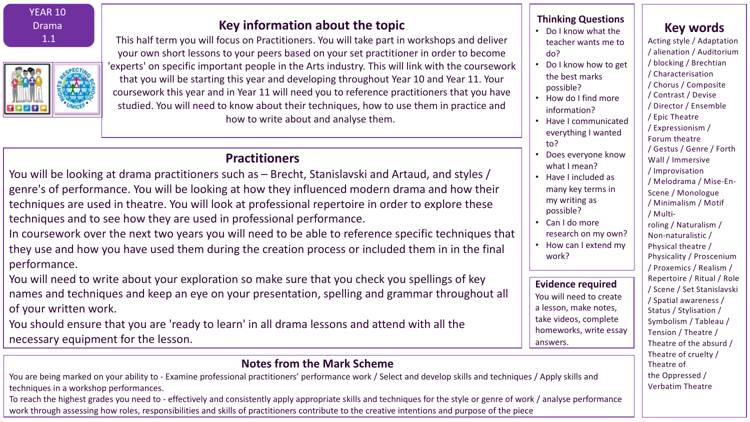YEAR 10 Drama 1.1

# **Key information about the topic**

This half term you will focus on Practitioners. You will take part in workshops and deliver your own short lessons to your peers based on your set practitioner in order to become 'experts' on specific important people in the Arts industry. This will link with the coursework that you will be starting this year and developing throughout Year 10 and Year 11. Your coursework this year and in Year 11 will need you to reference practitioners that you have studied. You will need to know about their techniques, how to use them in practice and how to write about and analyse them.

# **Practitioners**

You will be looking at drama practitioners such as – Brecht, Stanislavski and Artaud, and styles / genre's of performance. You will be looking at how they influenced modern drama and how their techniques are used in theatre. You will look at professional repertoire in order to explore these techniques and to see how they are used in professional performance.

In coursework over the next two years you will need to be able to reference specific techniques that they use and how you have used them during the creation process or included them in in the final performance.

You will need to write about your exploration so make sure that you check you spellings of key names and techniques and keep an eye on your presentation, spelling and grammar throughout all of your written work.

You should ensure that you are 'ready to learn' in all drama lessons and attend with all the necessary equipment for the lesson.

# **Notes from the Mark Scheme**

You are being marked on your ability to - Examine professional practitioners' performance work / Select and develop skills and techniques / Apply skills and techniques in a workshop performances.

To reach the highest grades you need to - effectively and consistently apply appropriate skills and techniques for the style or genre of work / analyse performance work through assessing how roles, responsibilities and skills of practitioners contribute to the creative intentions and purpose of the piece

#### **Thinking Questions**

- Do I know what the teacher wants me to do?
- Do I know how to get the best marks possible?
- How do I find more information?
- Have I communicated everything I wanted to?
- Does everyone know what I mean?
- Have I included as many key terms in my writing as possible?
- Can I do more research on my own?
- How can I extend my work?

#### **Evidence required**

You will need to create a lesson, make notes, take videos, complete homeworks, write essay answers.

Acting style / Adaptation / alienation / Auditorium / blocking / Brechtian / Characterisation / Chorus / Composite / Contrast / Devise / Director / Ensemble / Epic Theatre / Expressionism / Forum theatre / Gestus / Genre / Forth Wall / Immersive / Improvisation / Melodrama / Mise-En-Scene / Monologue / Minimalism / Motif / Multiroling / Naturalism / Non-naturalistic / Physical theatre / Physicality / Proscenium / Proxemics / Realism / Repertoire / Ritual / Role / Scene / Set Stanislavski / Spatial awareness / Status / Stylisation / Symbolism / Tableau / Tension / Theatre / Theatre of the absurd / Theatre of cruelty / Theatre of the Oppressed / Verbatim Theatre

**Key words**